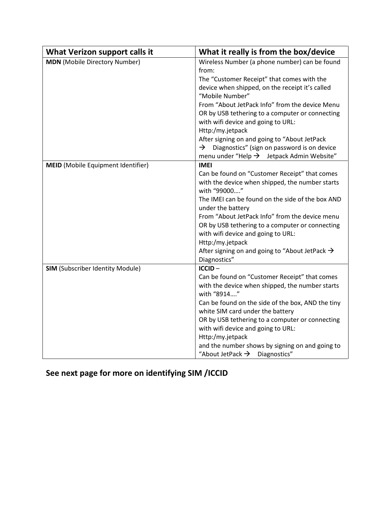| What Verizon support calls it             | What it really is from the box/device                        |
|-------------------------------------------|--------------------------------------------------------------|
| <b>MDN</b> (Mobile Directory Number)      | Wireless Number (a phone number) can be found                |
|                                           | from:                                                        |
|                                           | The "Customer Receipt" that comes with the                   |
|                                           | device when shipped, on the receipt it's called              |
|                                           | "Mobile Number"                                              |
|                                           | From "About JetPack Info" from the device Menu               |
|                                           | OR by USB tethering to a computer or connecting              |
|                                           | with wifi device and going to URL:                           |
|                                           | Http:/my.jetpack                                             |
|                                           | After signing on and going to "About JetPack                 |
|                                           | Diagnostics" (sign on password is on device<br>$\rightarrow$ |
|                                           | menu under "Help $\rightarrow$ Jetpack Admin Website"        |
| <b>MEID</b> (Mobile Equipment Identifier) | <b>IMEI</b>                                                  |
|                                           | Can be found on "Customer Receipt" that comes                |
|                                           | with the device when shipped, the number starts              |
|                                           | with "99000"                                                 |
|                                           | The IMEI can be found on the side of the box AND             |
|                                           | under the battery                                            |
|                                           | From "About JetPack Info" from the device menu               |
|                                           | OR by USB tethering to a computer or connecting              |
|                                           | with wifi device and going to URL:                           |
|                                           | Http:/my.jetpack                                             |
|                                           | After signing on and going to "About JetPack $\rightarrow$   |
|                                           | Diagnostics"                                                 |
| <b>SIM</b> (Subscriber Identity Module)   | ICCID-                                                       |
|                                           | Can be found on "Customer Receipt" that comes                |
|                                           | with the device when shipped, the number starts              |
|                                           | with "8914"                                                  |
|                                           | Can be found on the side of the box, AND the tiny            |
|                                           | white SIM card under the battery                             |
|                                           | OR by USB tethering to a computer or connecting              |
|                                           | with wifi device and going to URL:                           |
|                                           | Http:/my.jetpack                                             |
|                                           | and the number shows by signing on and going to              |
|                                           | "About JetPack $\rightarrow$ Diagnostics"                    |

**See next page for more on identifying SIM /ICCID**